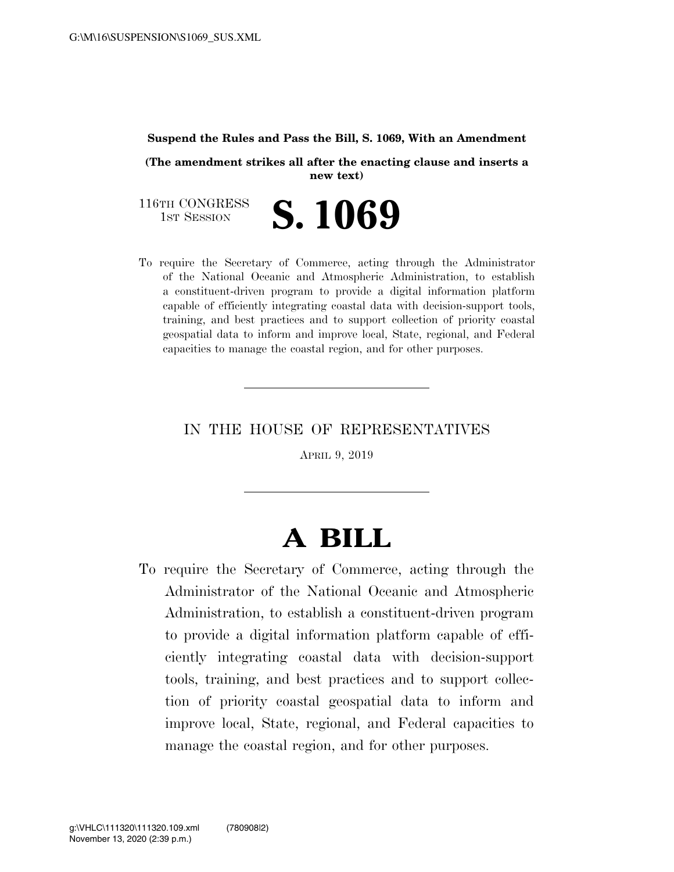## **Suspend the Rules and Pass the Bill, S. 1069, With an Amendment**

**(The amendment strikes all after the enacting clause and inserts a new text)** 

116TH CONGRESS<br>1st Session S. 1069

To require the Secretary of Commerce, acting through the Administrator of the National Oceanic and Atmospheric Administration, to establish a constituent-driven program to provide a digital information platform capable of efficiently integrating coastal data with decision-support tools, training, and best practices and to support collection of priority coastal geospatial data to inform and improve local, State, regional, and Federal capacities to manage the coastal region, and for other purposes.

IN THE HOUSE OF REPRESENTATIVES

APRIL 9, 2019

## **A BILL**

To require the Secretary of Commerce, acting through the Administrator of the National Oceanic and Atmospheric Administration, to establish a constituent-driven program to provide a digital information platform capable of efficiently integrating coastal data with decision-support tools, training, and best practices and to support collection of priority coastal geospatial data to inform and improve local, State, regional, and Federal capacities to manage the coastal region, and for other purposes.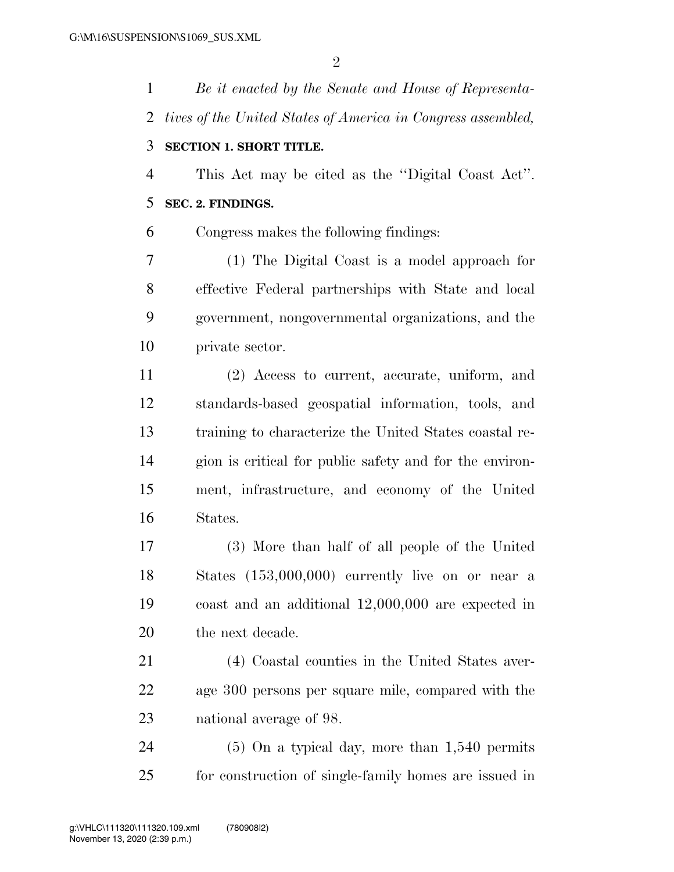*Be it enacted by the Senate and House of Representa- tives of the United States of America in Congress assembled,*  **SECTION 1. SHORT TITLE.**  This Act may be cited as the ''Digital Coast Act''. **SEC. 2. FINDINGS.**  Congress makes the following findings: (1) The Digital Coast is a model approach for effective Federal partnerships with State and local government, nongovernmental organizations, and the private sector. (2) Access to current, accurate, uniform, and standards-based geospatial information, tools, and training to characterize the United States coastal re- gion is critical for public safety and for the environ- ment, infrastructure, and economy of the United States. (3) More than half of all people of the United States (153,000,000) currently live on or near a coast and an additional 12,000,000 are expected in the next decade. (4) Coastal counties in the United States aver- age 300 persons per square mile, compared with the national average of 98. (5) On a typical day, more than 1,540 permits for construction of single-family homes are issued in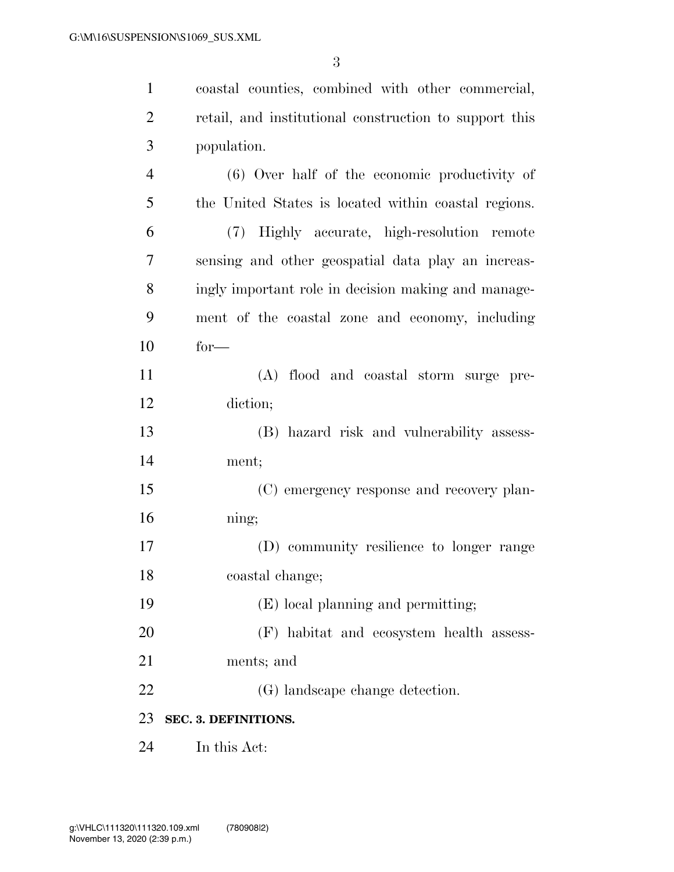coastal counties, combined with other commercial,

 retail, and institutional construction to support this population. (6) Over half of the economic productivity of the United States is located within coastal regions. (7) Highly accurate, high-resolution remote sensing and other geospatial data play an increas- ingly important role in decision making and manage- ment of the coastal zone and economy, including for— (A) flood and coastal storm surge pre- diction; (B) hazard risk and vulnerability assess- ment; (C) emergency response and recovery plan- ning; (D) community resilience to longer range coastal change; (E) local planning and permitting; (F) habitat and ecosystem health assess- ments; and (G) landscape change detection. **SEC. 3. DEFINITIONS.** 

In this Act: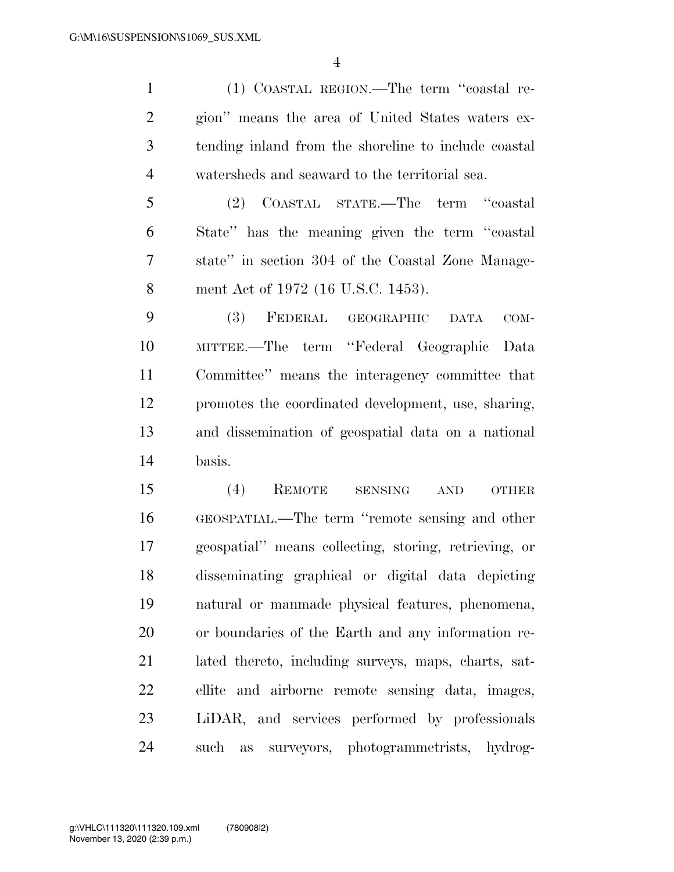(1) COASTAL REGION.—The term ''coastal re- gion'' means the area of United States waters ex- tending inland from the shoreline to include coastal watersheds and seaward to the territorial sea.

 (2) COASTAL STATE.—The term ''coastal State'' has the meaning given the term ''coastal state'' in section 304 of the Coastal Zone Manage-ment Act of 1972 (16 U.S.C. 1453).

 (3) FEDERAL GEOGRAPHIC DATA COM- MITTEE.—The term ''Federal Geographic Data Committee'' means the interagency committee that promotes the coordinated development, use, sharing, and dissemination of geospatial data on a national basis.

 (4) REMOTE SENSING AND OTHER GEOSPATIAL.—The term ''remote sensing and other geospatial'' means collecting, storing, retrieving, or disseminating graphical or digital data depicting natural or manmade physical features, phenomena, or boundaries of the Earth and any information re- lated thereto, including surveys, maps, charts, sat- ellite and airborne remote sensing data, images, LiDAR, and services performed by professionals such as surveyors, photogrammetrists, hydrog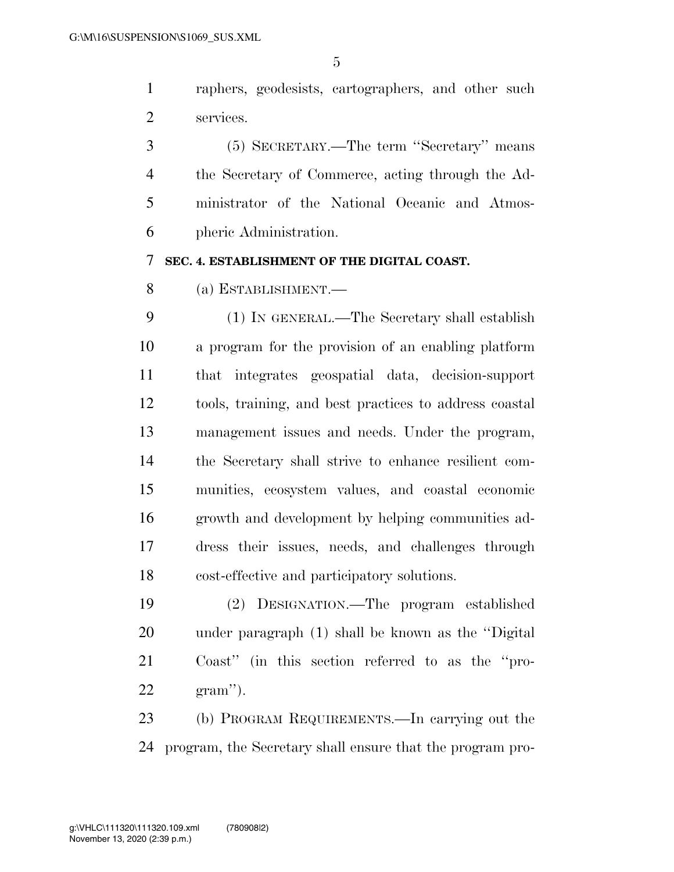raphers, geodesists, cartographers, and other such services.

 (5) SECRETARY.—The term ''Secretary'' means the Secretary of Commerce, acting through the Ad- ministrator of the National Oceanic and Atmos-pheric Administration.

## **SEC. 4. ESTABLISHMENT OF THE DIGITAL COAST.**

(a) ESTABLISHMENT.—

 (1) IN GENERAL.—The Secretary shall establish a program for the provision of an enabling platform that integrates geospatial data, decision-support tools, training, and best practices to address coastal management issues and needs. Under the program, the Secretary shall strive to enhance resilient com- munities, ecosystem values, and coastal economic growth and development by helping communities ad- dress their issues, needs, and challenges through cost-effective and participatory solutions.

 (2) DESIGNATION.—The program established under paragraph (1) shall be known as the ''Digital Coast'' (in this section referred to as the ''pro-gram'').

 (b) PROGRAM REQUIREMENTS.—In carrying out the program, the Secretary shall ensure that the program pro-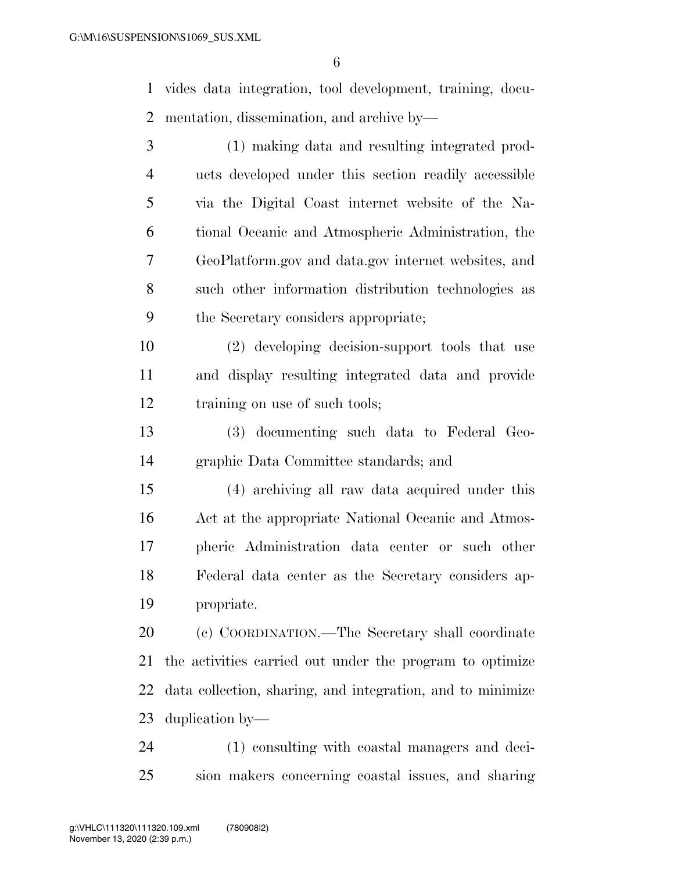vides data integration, tool development, training, docu-mentation, dissemination, and archive by—

| 3              | (1) making data and resulting integrated prod-             |
|----------------|------------------------------------------------------------|
| $\overline{4}$ | ucts developed under this section readily accessible       |
| 5              | via the Digital Coast internet website of the Na-          |
| 6              | tional Oceanic and Atmospheric Administration, the         |
| 7              | GeoPlatform.gov and data.gov internet websites, and        |
| 8              | such other information distribution technologies as        |
| 9              | the Secretary considers appropriate;                       |
| 10             | (2) developing decision-support tools that use             |
| 11             | and display resulting integrated data and provide          |
| 12             | training on use of such tools;                             |
| 13             | (3) documenting such data to Federal Geo-                  |
| 14             | graphic Data Committee standards; and                      |
| 15             | (4) archiving all raw data acquired under this             |
| 16             | Act at the appropriate National Oceanic and Atmos-         |
| 17             | pheric Administration data center or such other            |
| 18             | Federal data center as the Secretary considers ap-         |
| 19             | propriate.                                                 |
| 20             | (c) COORDINATION.—The Secretary shall coordinate           |
| 21             | the activities carried out under the program to optimize   |
| 22             | data collection, sharing, and integration, and to minimize |
| 23             | duplication by-                                            |
|                |                                                            |

 (1) consulting with coastal managers and deci-sion makers concerning coastal issues, and sharing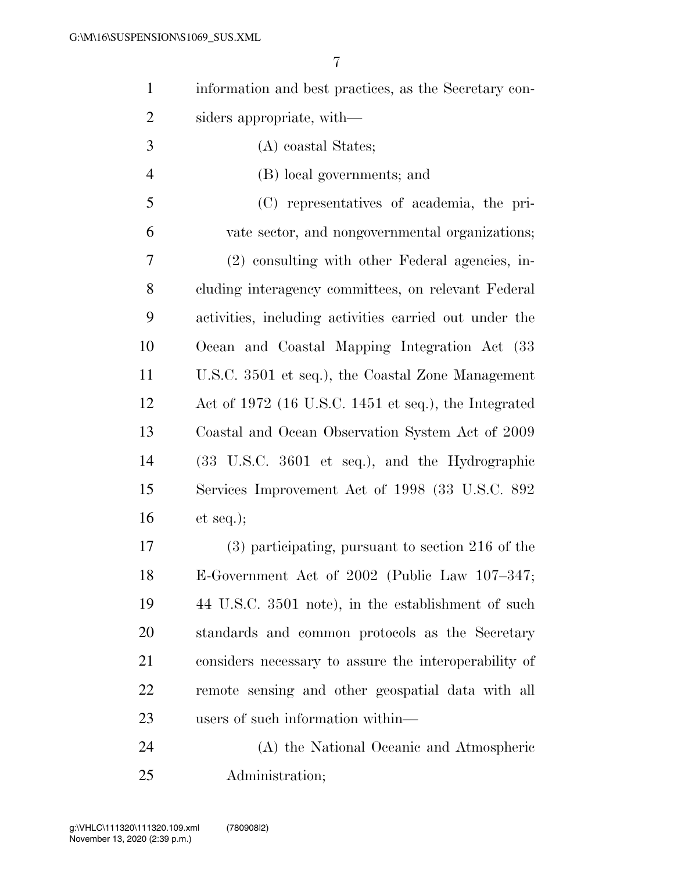| information and best practices, as the Secretary con-  |
|--------------------------------------------------------|
| siders appropriate, with—                              |
| (A) coastal States;                                    |
| (B) local governments; and                             |
| (C) representatives of academia, the pri-              |
| vate sector, and nongovernmental organizations;        |
| (2) consulting with other Federal agencies, in-        |
| cluding interagency committees, on relevant Federal    |
| activities, including activities carried out under the |
| Ocean and Coastal Mapping Integration Act (33          |
| U.S.C. 3501 et seq.), the Coastal Zone Management      |
| Act of $1972$ (16 U.S.C. 1451 et seq.), the Integrated |
| Coastal and Ocean Observation System Act of 2009       |
| (33 U.S.C. 3601 et seq.), and the Hydrographic         |
| Services Improvement Act of 1998 (33 U.S.C. 892)       |
| et seq.);                                              |
| $(3)$ participating, pursuant to section 216 of the    |
| E-Government Act of 2002 (Public Law 107-347;          |
| 44 U.S.C. 3501 note), in the establishment of such     |
| standards and common protocols as the Secretary        |
| considers necessary to assure the interoperability of  |
| remote sensing and other geospatial data with all      |
| users of such information within—                      |
| (A) the National Oceanic and Atmospheric               |
|                                                        |

Administration;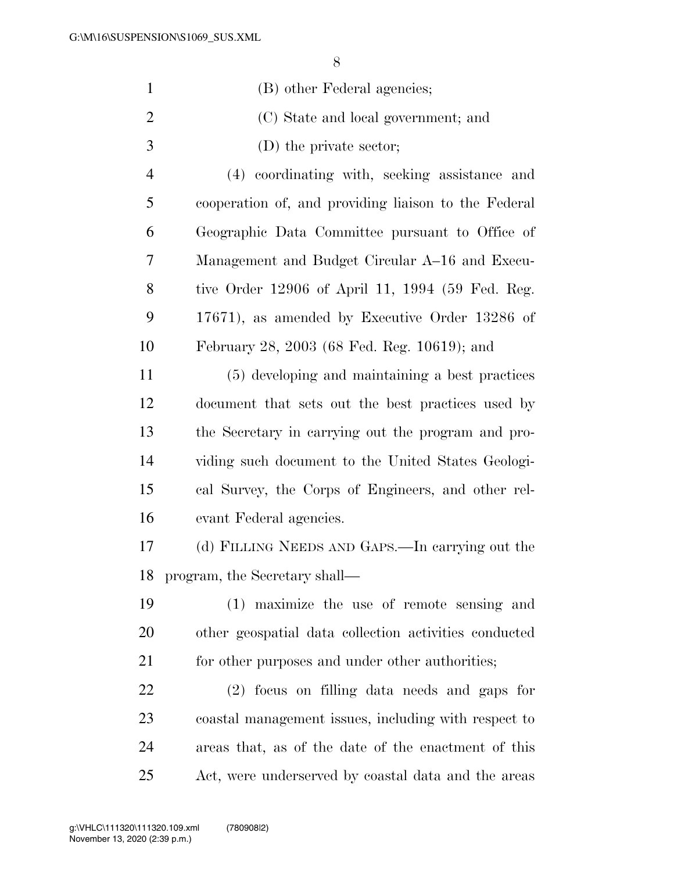|                | 8                                                    |
|----------------|------------------------------------------------------|
| $\mathbf{1}$   | (B) other Federal agencies;                          |
| $\overline{2}$ | (C) State and local government; and                  |
| 3              | $(D)$ the private sector;                            |
| $\overline{4}$ | (4) coordinating with, seeking assistance and        |
| 5              | cooperation of, and providing liaison to the Federal |
| 6              | Geographic Data Committee pursuant to Office of      |
| 7              | Management and Budget Circular A–16 and Execu-       |
| 8              | tive Order 12906 of April 11, 1994 (59 Fed. Reg.     |
| 9              | 17671), as amended by Executive Order 13286 of       |
| 10             | February 28, 2003 (68 Fed. Reg. 10619); and          |
| 11             | (5) developing and maintaining a best practices      |
| 12             | document that sets out the best practices used by    |
| 13             | the Secretary in carrying out the program and pro-   |
| 14             | viding such document to the United States Geologi-   |
| 15             | cal Survey, the Corps of Engineers, and other rel-   |
| 16             | evant Federal agencies.                              |
| 17             | (d) FILLING NEEDS AND GAPS.—In carrying out the      |
| 18             | program, the Secretary shall—                        |

 (1) maximize the use of remote sensing and other geospatial data collection activities conducted 21 for other purposes and under other authorities;

 (2) focus on filling data needs and gaps for coastal management issues, including with respect to areas that, as of the date of the enactment of this Act, were underserved by coastal data and the areas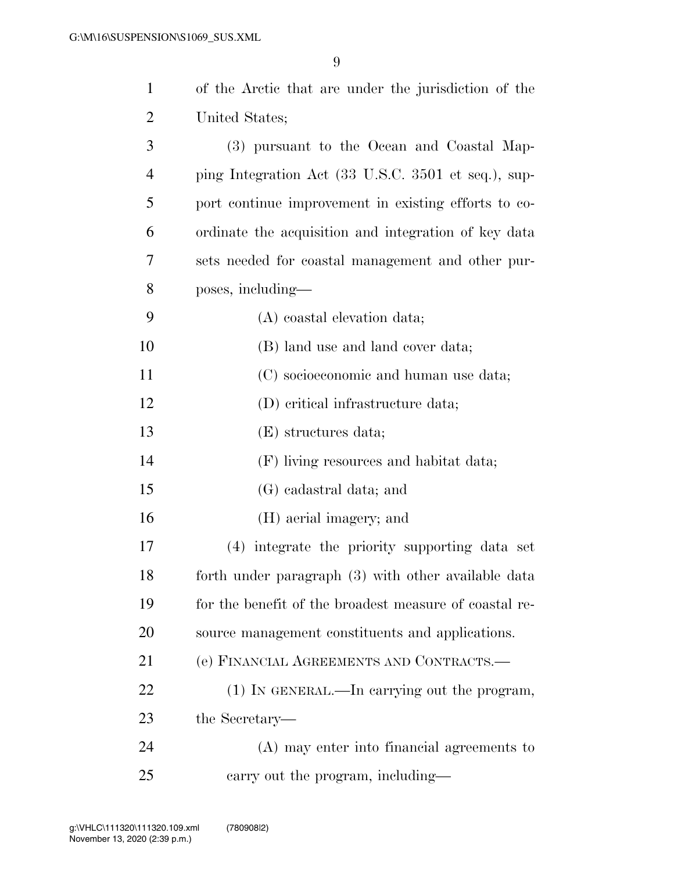| $\mathbf{1}$   | of the Arctic that are under the jurisdiction of the   |
|----------------|--------------------------------------------------------|
| $\overline{c}$ | United States;                                         |
| 3              | (3) pursuant to the Ocean and Coastal Map-             |
| $\overline{4}$ | ping Integration Act (33 U.S.C. 3501 et seq.), sup-    |
| 5              | port continue improvement in existing efforts to co-   |
| 6              | ordinate the acquisition and integration of key data   |
| 7              | sets needed for coastal management and other pur-      |
| 8              | poses, including—                                      |
| 9              | (A) coastal elevation data;                            |
| 10             | (B) land use and land cover data;                      |
| 11             | (C) socioeconomic and human use data;                  |
| 12             | (D) critical infrastructure data;                      |
| 13             | (E) structures data;                                   |
| 14             | (F) living resources and habitat data;                 |
| 15             | (G) cadastral data; and                                |
| 16             | (H) aerial imagery; and                                |
| 17             | integrate the priority supporting data set<br>(4)      |
| 18             | forth under paragraph (3) with other available data    |
| 19             | for the benefit of the broadest measure of coastal re- |
| 20             | source management constituents and applications.       |
| 21             | (e) FINANCIAL AGREEMENTS AND CONTRACTS.-               |
| 22             | (1) IN GENERAL.—In carrying out the program,           |
| 23             | the Secretary—                                         |
| 24             | (A) may enter into financial agreements to             |
| 25             | carry out the program, including—                      |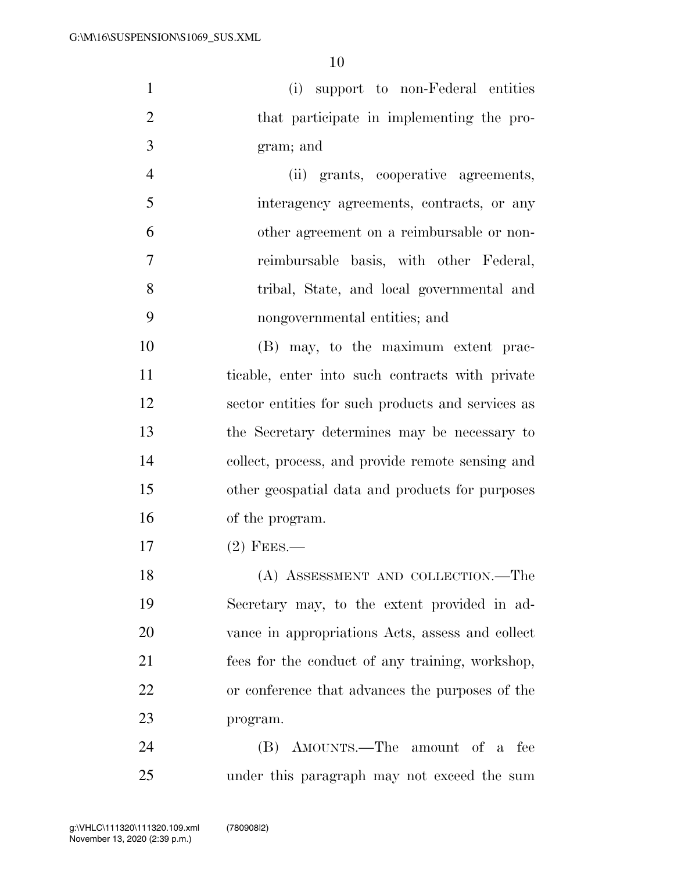(i) support to non-Federal entities 2 that participate in implementing the pro-gram; and

 (ii) grants, cooperative agreements, interagency agreements, contracts, or any other agreement on a reimbursable or non- reimbursable basis, with other Federal, tribal, State, and local governmental and nongovernmental entities; and

 (B) may, to the maximum extent prac- ticable, enter into such contracts with private sector entities for such products and services as the Secretary determines may be necessary to collect, process, and provide remote sensing and other geospatial data and products for purposes of the program.

17 (2) FEES.—

 (A) ASSESSMENT AND COLLECTION.—The Secretary may, to the extent provided in ad- vance in appropriations Acts, assess and collect fees for the conduct of any training, workshop, or conference that advances the purposes of the program.

 (B) AMOUNTS.—The amount of a fee under this paragraph may not exceed the sum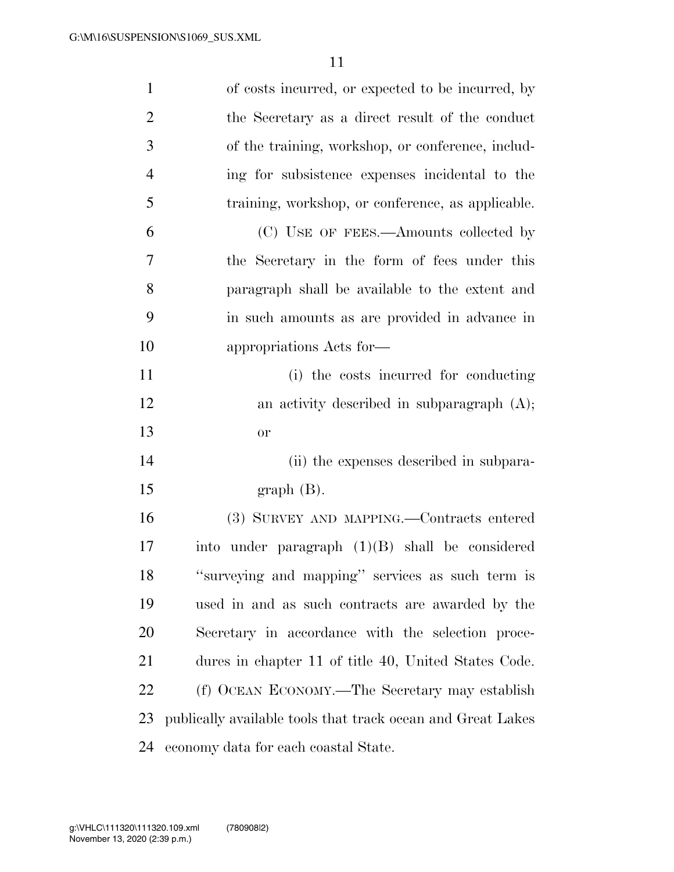| $\mathbf{1}$   | of costs incurred, or expected to be incurred, by           |
|----------------|-------------------------------------------------------------|
| $\overline{2}$ | the Secretary as a direct result of the conduct             |
| 3              | of the training, workshop, or conference, includ-           |
| $\overline{4}$ | ing for subsistence expenses incidental to the              |
| 5              | training, workshop, or conference, as applicable.           |
| 6              | (C) USE OF FEES.—Amounts collected by                       |
| 7              | the Secretary in the form of fees under this                |
| 8              | paragraph shall be available to the extent and              |
| 9              | in such amounts as are provided in advance in               |
| 10             | appropriations Acts for-                                    |
| 11             | (i) the costs incurred for conducting                       |
| 12             | an activity described in subparagraph $(A)$ ;               |
| 13             | <b>or</b>                                                   |
| 14             | (ii) the expenses described in subpara-                     |
| 15             | $graph(B)$ .                                                |
| 16             | (3) SURVEY AND MAPPING.—Contracts entered                   |
| 17             | into under paragraph $(1)(B)$ shall be considered           |
| 18             | "surveying and mapping" services as such term is            |
| 19             | used in and as such contracts are awarded by the            |
| 20             | Secretary in accordance with the selection proce-           |
| 21             | dures in chapter 11 of title 40, United States Code.        |
| 22             | (f) OCEAN ECONOMY.—The Secretary may establish              |
| 23             | publically available tools that track ocean and Great Lakes |
| 24             | economy data for each coastal State.                        |